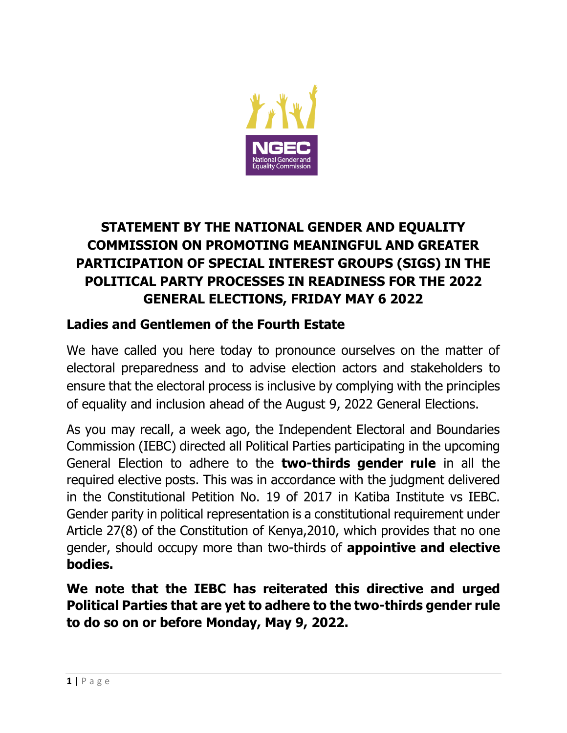

## **STATEMENT BY THE NATIONAL GENDER AND EQUALITY COMMISSION ON PROMOTING MEANINGFUL AND GREATER PARTICIPATION OF SPECIAL INTEREST GROUPS (SIGS) IN THE POLITICAL PARTY PROCESSES IN READINESS FOR THE 2022 GENERAL ELECTIONS, FRIDAY MAY 6 2022**

## **Ladies and Gentlemen of the Fourth Estate**

We have called you here today to pronounce ourselves on the matter of electoral preparedness and to advise election actors and stakeholders to ensure that the electoral process is inclusive by complying with the principles of equality and inclusion ahead of the August 9, 2022 General Elections.

As you may recall, a week ago, the Independent Electoral and Boundaries Commission (IEBC) directed all Political Parties participating in the upcoming General Election to adhere to the **two-thirds gender rule** in all the required elective posts. This was in accordance with the judgment delivered in the Constitutional Petition No. 19 of 2017 in Katiba Institute vs IEBC. Gender parity in political representation is a constitutional requirement under Article 27(8) of the Constitution of Kenya,2010, which provides that no one gender, should occupy more than two-thirds of **appointive and elective bodies.**

**We note that the IEBC has reiterated this directive and urged Political Parties that are yet to adhere to the two-thirds gender rule to do so on or before Monday, May 9, 2022.**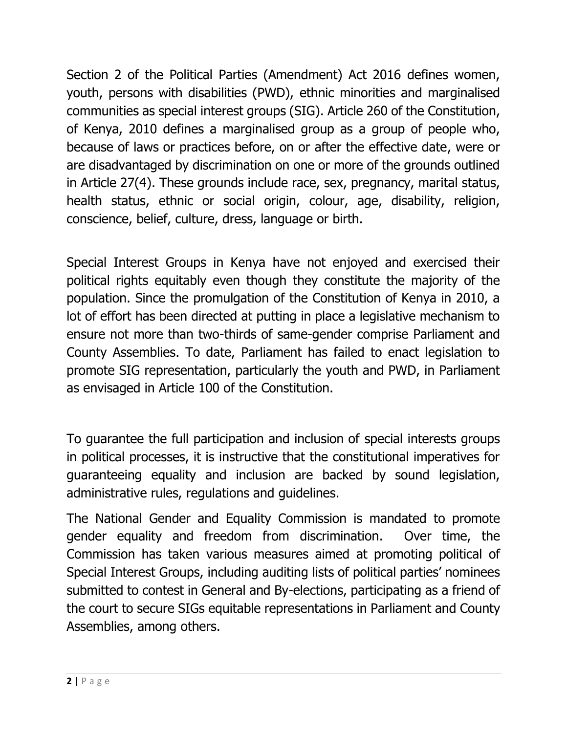Section 2 of the Political Parties (Amendment) Act 2016 defines women, youth, persons with disabilities (PWD), ethnic minorities and marginalised communities as special interest groups (SIG). Article 260 of the Constitution, of Kenya, 2010 defines a marginalised group as a group of people who, because of laws or practices before, on or after the effective date, were or are disadvantaged by discrimination on one or more of the grounds outlined in Article 27(4). These grounds include race, sex, pregnancy, marital status, health status, ethnic or social origin, colour, age, disability, religion, conscience, belief, culture, dress, language or birth.

Special Interest Groups in Kenya have not enjoyed and exercised their political rights equitably even though they constitute the majority of the population. Since the promulgation of the Constitution of Kenya in 2010, a lot of effort has been directed at putting in place a legislative mechanism to ensure not more than two-thirds of same-gender comprise Parliament and County Assemblies. To date, Parliament has failed to enact legislation to promote SIG representation, particularly the youth and PWD, in Parliament as envisaged in Article 100 of the Constitution.

To guarantee the full participation and inclusion of special interests groups in political processes, it is instructive that the constitutional imperatives for guaranteeing equality and inclusion are backed by sound legislation, administrative rules, regulations and guidelines.

The National Gender and Equality Commission is mandated to promote gender equality and freedom from discrimination. Over time, the Commission has taken various measures aimed at promoting political of Special Interest Groups, including auditing lists of political parties' nominees submitted to contest in General and By-elections, participating as a friend of the court to secure SIGs equitable representations in Parliament and County Assemblies, among others.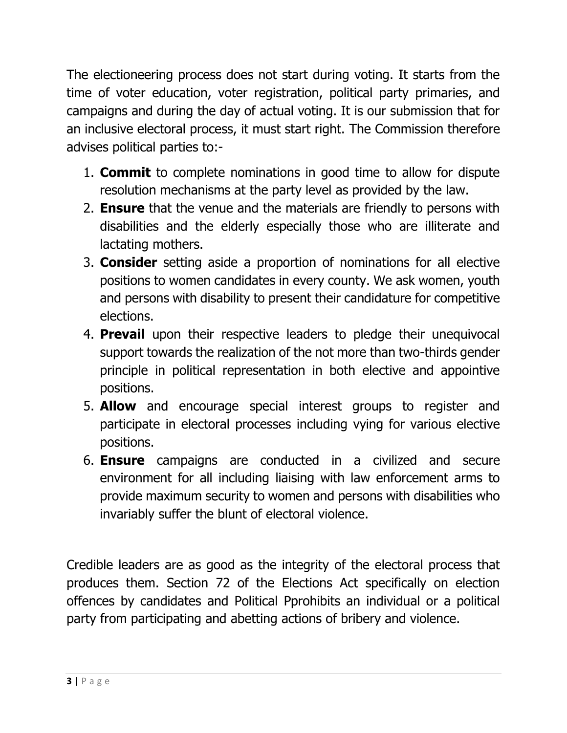The electioneering process does not start during voting. It starts from the time of voter education, voter registration, political party primaries, and campaigns and during the day of actual voting. It is our submission that for an inclusive electoral process, it must start right. The Commission therefore advises political parties to:-

- 1. **Commit** to complete nominations in good time to allow for dispute resolution mechanisms at the party level as provided by the law.
- 2. **Ensure** that the venue and the materials are friendly to persons with disabilities and the elderly especially those who are illiterate and lactating mothers.
- 3. **Consider** setting aside a proportion of nominations for all elective positions to women candidates in every county. We ask women, youth and persons with disability to present their candidature for competitive elections.
- 4. **Prevail** upon their respective leaders to pledge their unequivocal support towards the realization of the not more than two-thirds gender principle in political representation in both elective and appointive positions.
- 5. **Allow** and encourage special interest groups to register and participate in electoral processes including vying for various elective positions.
- 6. **Ensure** campaigns are conducted in a civilized and secure environment for all including liaising with law enforcement arms to provide maximum security to women and persons with disabilities who invariably suffer the blunt of electoral violence.

Credible leaders are as good as the integrity of the electoral process that produces them. Section 72 of the Elections Act specifically on election offences by candidates and Political Pprohibits an individual or a political party from participating and abetting actions of bribery and violence.